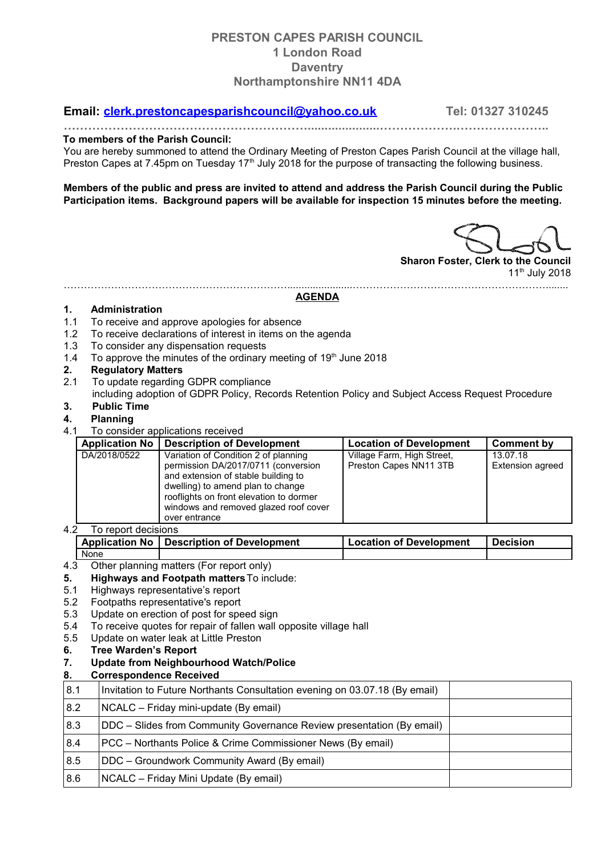## **PRESTON CAPES PARISH COUNCIL 1 London Road Daventry Northamptonshire NN11 4DA**

### **Email: [clerk.prestoncapesparishcouncil@yahoo.co.uk](mailto:clerk.prestoncapesparishcouncil@yahoo.co.uk) Tel: 01327 310245**

**…………………………………………………….....................……………….…………………..**

#### **To members of the Parish Council:**

You are hereby summoned to attend the Ordinary Meeting of Preston Capes Parish Council at the village hall, Preston Capes at 7.45pm on Tuesday 17<sup>th</sup> July 2018 for the purpose of transacting the following business.

**Members of the public and press are invited to attend and address the Parish Council during the Public Participation items. Background papers will be available for inspection 15 minutes before the meeting.**

**Sharon Foster, Clerk to the Council** 11<sup>th</sup> July 2018

#### ………………………………………………………….......................…………………………………………………........ **AGENDA**

#### **1. Administration**

- 1.1 To receive and approve apologies for absence
- 1.2 To receive declarations of interest in items on the agenda
- 1.3 To consider any dispensation requests
- 1.4 To approve the minutes of the ordinary meeting of  $19<sup>th</sup>$  June 2018

#### **2. Regulatory Matters**

- 2.1 To update regarding GDPR compliance
- including adoption of GDPR Policy, Records Retention Policy and Subject Access Request Procedure **3. Public Time**

# **4. Planning**

4.1 To consider applications received

| <b>Application No</b> | <b>Description of Development</b>                                                                                                                                                                                                                            | <b>Location of Development</b>                       | Comment by                          |
|-----------------------|--------------------------------------------------------------------------------------------------------------------------------------------------------------------------------------------------------------------------------------------------------------|------------------------------------------------------|-------------------------------------|
| DA/2018/0522          | Variation of Condition 2 of planning<br>permission DA/2017/0711 (conversion<br>and extension of stable building to<br>dwelling) to amend plan to change<br>rooflights on front elevation to dormer<br>windows and removed glazed roof cover<br>over entrance | Village Farm, High Street,<br>Preston Capes NN11 3TB | 13.07.18<br><b>Extension agreed</b> |

4.2 To report decisions

| .      |                                             |                                |                 |
|--------|---------------------------------------------|--------------------------------|-----------------|
|        | Application No   Description of Development | <b>Location of Development</b> | <b>Decision</b> |
| ' None |                                             |                                |                 |

- 4.3 Other planning matters (For report only)
- **5. Highways and Footpath matters**To include:
- 5.1 Highways representative's report
- 5.2 Footpaths representative's report
- 5.3 Update on erection of post for speed sign
- 5.4 To receive quotes for repair of fallen wall opposite village hall
- 5.5 Update on water leak at Little Preston
- **6. Tree Warden's Report**
- **7. Update from Neighbourhood Watch/Police**

### **8. Correspondence Received**

| 8.1 | Invitation to Future Northants Consultation evening on 03.07.18 (By email) |  |
|-----|----------------------------------------------------------------------------|--|
| 8.2 | NCALC - Friday mini-update (By email)                                      |  |
| 8.3 | DDC – Slides from Community Governance Review presentation (By email)      |  |
| 8.4 | PCC – Northants Police & Crime Commissioner News (By email)                |  |
| 8.5 | DDC - Groundwork Community Award (By email)                                |  |
| 8.6 | NCALC - Friday Mini Update (By email)                                      |  |